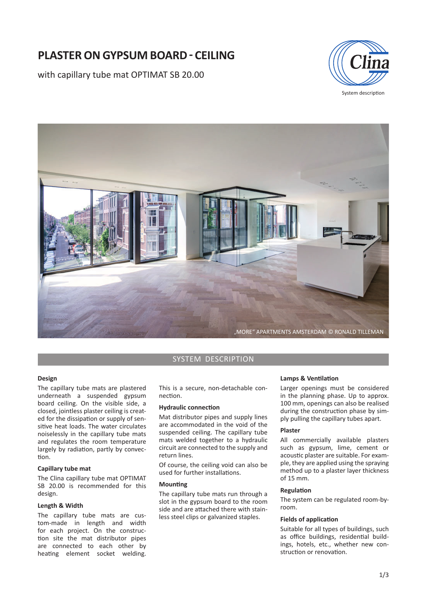# **PLASTER ON GYPSUM BOARD - CEILING**

with capillary tube mat OPTIMAT SB 20.00



"MORE" APARTMENTS AMSTERDAM © RONALD TILLEMAN

## SYSTEM DESCRIPTION

## **Design**

The capillary tube mats are plastered underneath a suspended gypsum board ceiling. On the visible side, a closed, jointless plaster ceiling is created for the dissipation or supply of sensitive heat loads. The water circulates noiselessly in the capillary tube mats and regulates the room temperature largely by radiation, partly by convection.

## **Capillary tube mat**

The Clina capillary tube mat OPTIMAT SB 20.00 is recommended for this design.

## **Length & Width**

The capillary tube mats are custom-made in length and width for each project. On the construction site the mat distributor pipes are connected to each other by heating element socket welding.

This is a secure, non-detachable connection.

## **Hydraulic connection**

Mat distributor pipes and supply lines are accommodated in the void of the suspended ceiling. The capillary tube mats welded together to a hydraulic circuit are connected to the supply and return lines.

Of course, the ceiling void can also be used for further installations.

### **Mounting**

The capillary tube mats run through a slot in the gypsum board to the room side and are attached there with stainless steel clips or galvanized staples.

#### **Lamps & Ventilation**

Larger openings must be considered in the planning phase. Up to approx. 100 mm, openings can also be realised during the construction phase by simply pulling the capillary tubes apart.

### **Plaster**

All commercially available plasters such as gypsum, lime, cement or acoustic plaster are suitable. For example, they are applied using the spraying method up to a plaster layer thickness of 15 mm.

## **RegulaƟ on**

The system can be regulated room-byroom.

## **Fields of application**

Suitable for all types of buildings, such as office buildings, residential buildings, hotels, etc., whether new construction or renovation.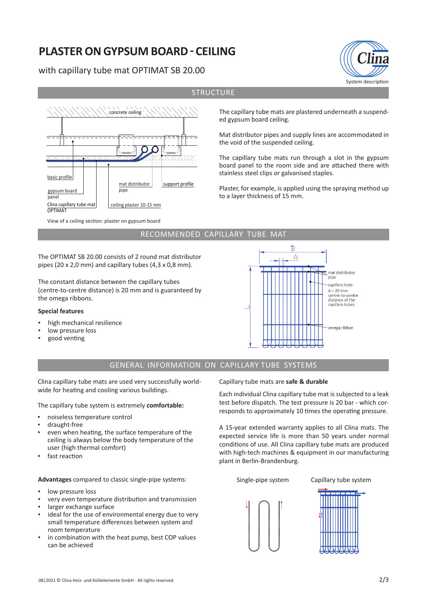# **PLASTER ON GYPSUM BOARD - CEILING**

# with capillary tube mat OPTIMAT SB 20.00



View of a ceiling section: plaster on gypsum board

The capillary tube mats are plastered underneath a suspended gypsum board ceiling.

System description

Mat distributor pipes and supply lines are accommodated in the void of the suspended ceiling.

The capillary tube mats run through a slot in the gypsum board panel to the room side and are attached there with stainless steel clips or galvanised staples.

Plaster, for example, is applied using the spraying method up to a layer thickness of 15 mm.

## RECOMMENDED CAPILLARY TUBE MAT

The OPTIMAT SB 20.00 consists of 2 round mat distributor pipes (20 x 2,0 mm) and capillary tubes (4,3 x 0,8 mm).

The constant distance between the capillary tubes (centre-to-centre distance) is 20 mm and is guaranteed by the omega ribbons.

## **Special features**

- high mechanical resilience
- low pressure loss
- good venting



## GENERAL INFORMATION ON CAPILLARY TUBE SYSTEMS

Clina capillary tube mats are used very successfully worldwide for heating and cooling various buildings.

The capillary tube system is extremely **comfortable:**

- noiseless temperature control
- draught-free
- even when heating, the surface temperature of the ceiling is always below the body temperature of the user (high thermal comfort)
- fast reaction

**Advantages** compared to classic single-pipe systems:

- low pressure loss
- very even temperature distribution and transmission
- larger exchange surface
- ideal for the use of environmental energy due to very small temperature differences between system and room temperature
- in combination with the heat pump, best COP values can be achieved

Capillary tube mats are **safe & durable**

Each individual Clina capillary tube mat is subjected to a leak test before dispatch. The test pressure is 20 bar - which corresponds to approximately 10 times the operating pressure.

A 15-year extended warranty applies to all Clina mats. The expected service life is more than 50 years under normal conditions of use. All Clina capillary tube mats are produced with high-tech machines & equipment in our manufacturing plant in Berlin-Brandenburg.

Single-pipe system Capillary tube system